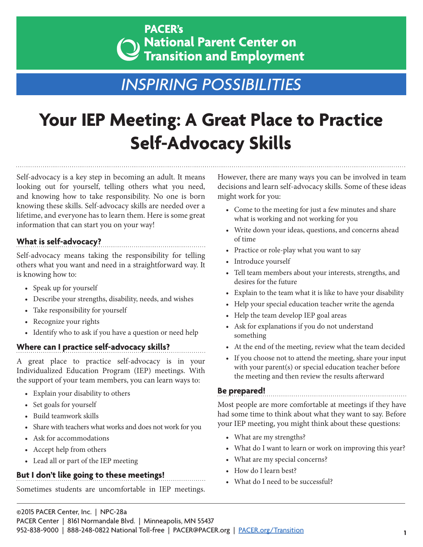### **PACER's**  $\lambda$  National Parent Center on **Transition and Employment**

## *INSPIRING POSSIBILITIES*

# **Your IEP Meeting: A Great Place to Practice Self-Advocacy Skills**

Self-advocacy is a key step in becoming an adult. It means looking out for yourself, telling others what you need, and knowing how to take responsibility. No one is born knowing these skills. Self-advocacy skills are needed over a lifetime, and everyone has to learn them. Here is some great information that can start you on your way!

#### **What is self-advocacy?**

Self-advocacy means taking the responsibility for telling others what you want and need in a straightforward way. It is knowing how to:

- Speak up for yourself
- Describe your strengths, disability, needs, and wishes
- Take responsibility for yourself
- Recognize your rights
- Identify who to ask if you have a question or need help

#### **Where can I practice self-advocacy skills?**

A great place to practice self-advocacy is in your Individualized Education Program (IEP) meetings. With the support of your team members, you can learn ways to:

- Explain your disability to others
- Set goals for yourself
- Build teamwork skills
- Share with teachers what works and does not work for you
- Ask for accommodations
- Accept help from others
- Lead all or part of the IEP meeting

#### **But I don't like going to these meetings!**

Sometimes students are uncomfortable in IEP meetings.

However, there are many ways you can be involved in team decisions and learn self-advocacy skills. Some of these ideas might work for you:

- Come to the meeting for just a few minutes and share what is working and not working for you
- Write down your ideas, questions, and concerns ahead of time
- Practice or role-play what you want to say
- Introduce yourself
- Tell team members about your interests, strengths, and desires for the future
- Explain to the team what it is like to have your disability
- Help your special education teacher write the agenda
- Help the team develop IEP goal areas
- Ask for explanations if you do not understand something
- At the end of the meeting, review what the team decided
- If you choose not to attend the meeting, share your input with your parent(s) or special education teacher before the meeting and then review the results afterward

#### **Be prepared!**

Most people are more comfortable at meetings if they have had some time to think about what they want to say. Before your IEP meeting, you might think about these questions:

- What are my strengths?
- What do I want to learn or work on improving this year?
- What are my special concerns?
- How do I learn best?
- What do I need to be successful?